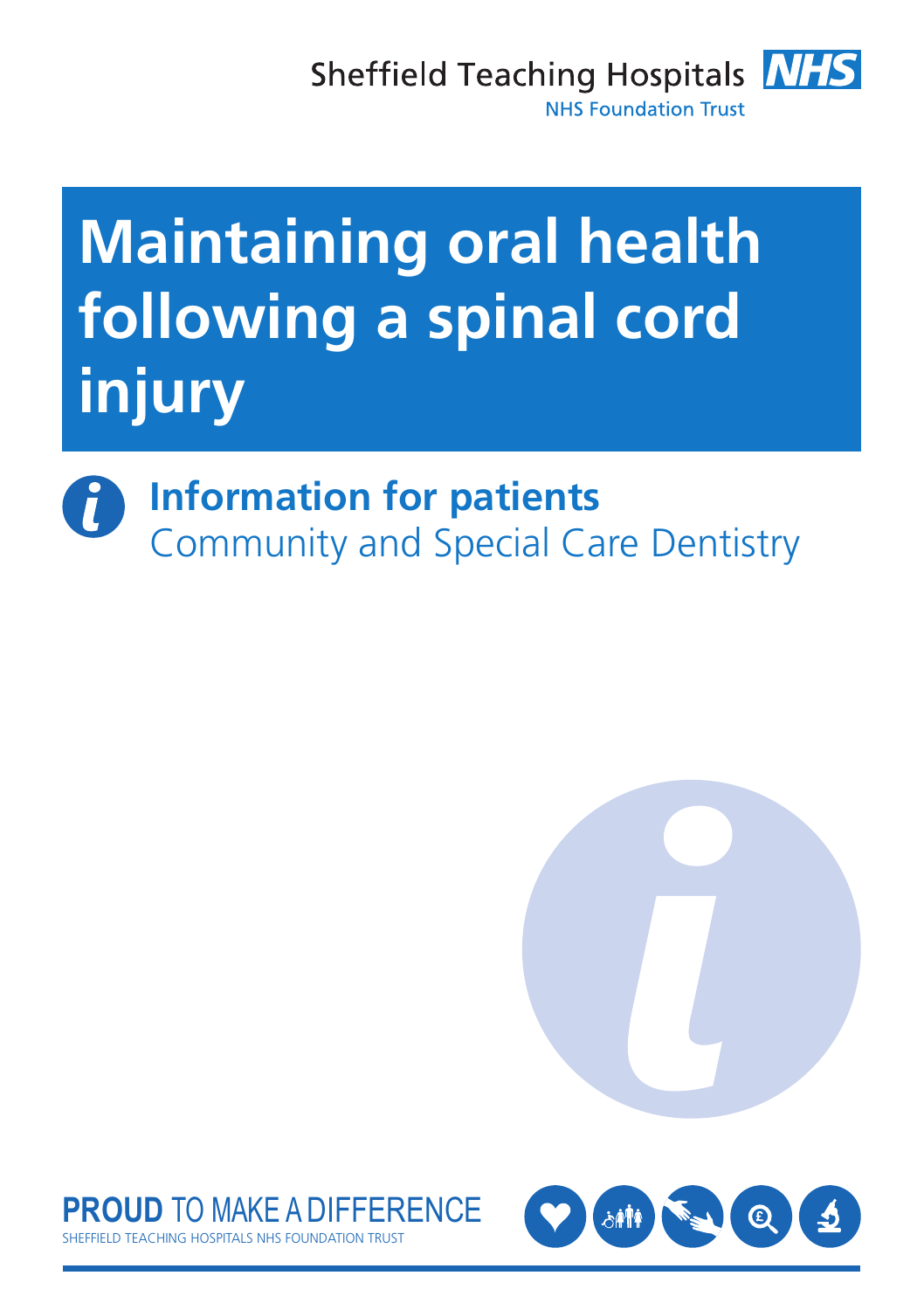

# **Maintaining oral health following a spinal cord injury**

## **Information for patients** Community and Special Care Dentistry





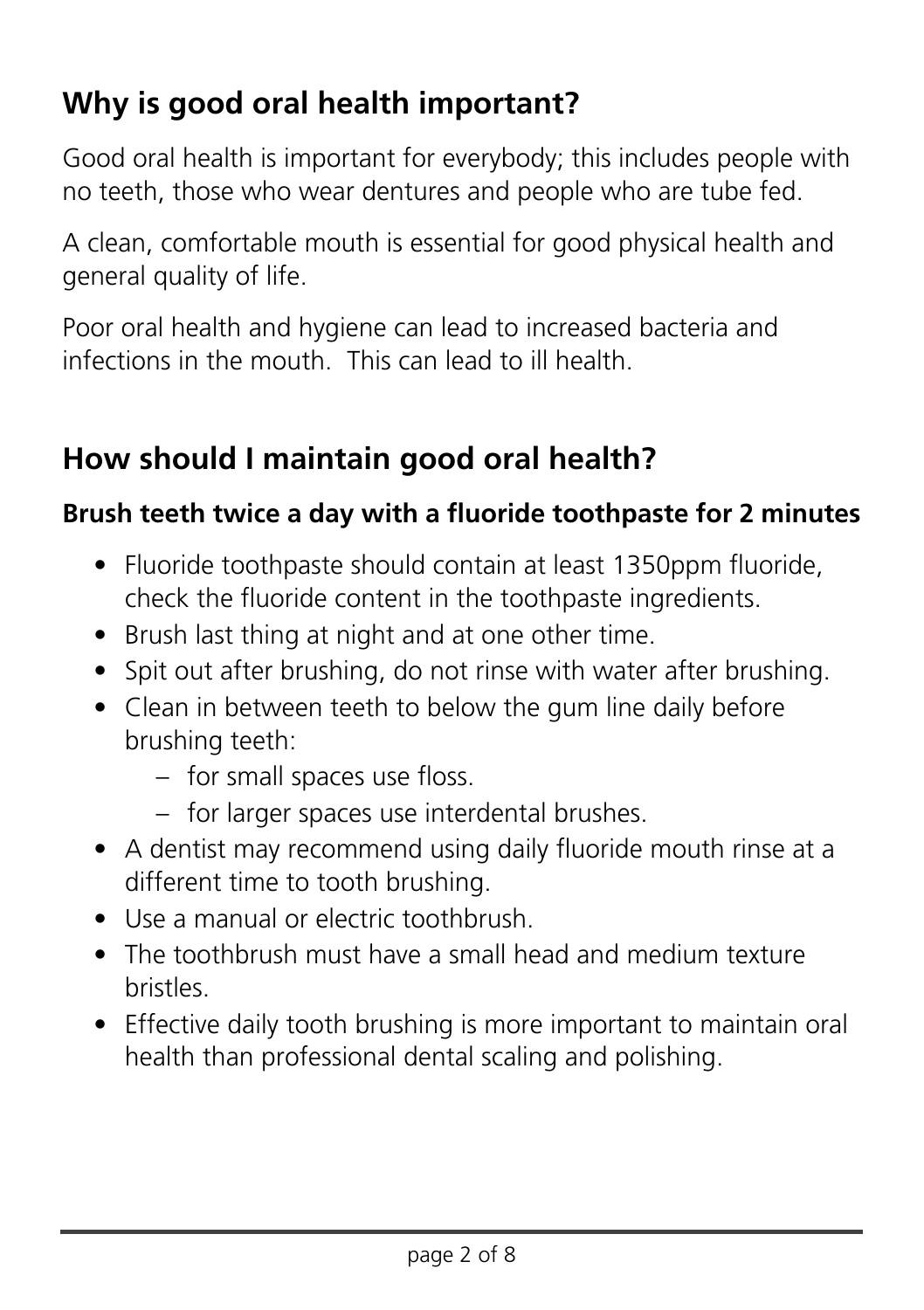## **Why is good oral health important?**

Good oral health is important for everybody; this includes people with no teeth, those who wear dentures and people who are tube fed.

A clean, comfortable mouth is essential for good physical health and general quality of life.

Poor oral health and hygiene can lead to increased bacteria and infections in the mouth. This can lead to ill health.

## **How should I maintain good oral health?**

## **Brush teeth twice a day with a fluoride toothpaste for 2 minutes**

- Fluoride toothpaste should contain at least 1350ppm fluoride, check the fluoride content in the toothpaste ingredients.
- Brush last thing at night and at one other time.
- Spit out after brushing, do not rinse with water after brushing.
- Clean in between teeth to below the gum line daily before brushing teeth:
	- for small spaces use floss.
	- for larger spaces use interdental brushes.
- A dentist may recommend using daily fluoride mouth rinse at a different time to tooth brushing.
- Use a manual or electric toothbrush.
- The toothbrush must have a small head and medium texture bristles.
- Effective daily tooth brushing is more important to maintain oral health than professional dental scaling and polishing.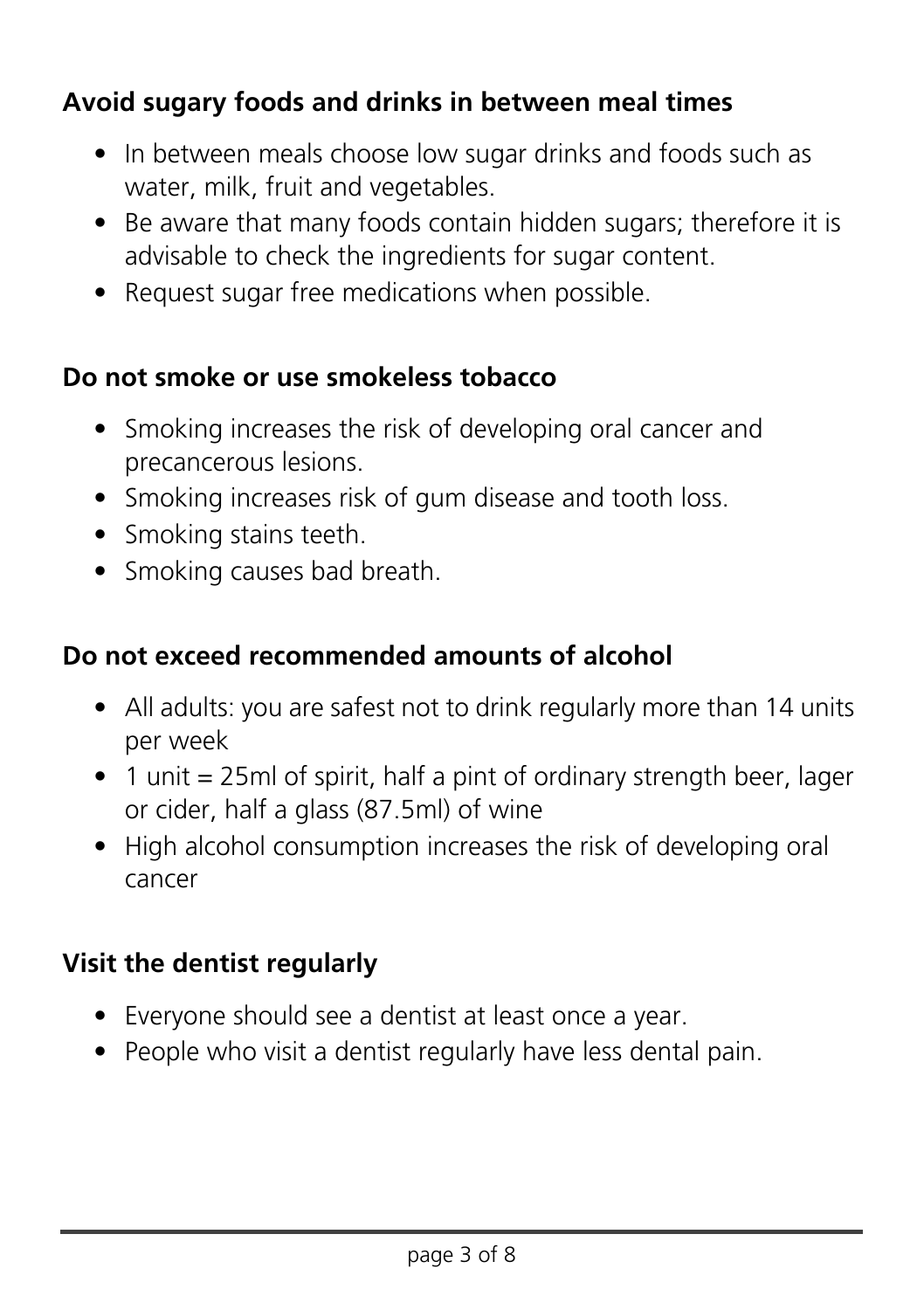## **Avoid sugary foods and drinks in between meal times**

- In between meals choose low sugar drinks and foods such as water, milk, fruit and vegetables.
- Be aware that many foods contain hidden sugars; therefore it is advisable to check the ingredients for sugar content.
- Request sugar free medications when possible.

#### **Do not smoke or use smokeless tobacco**

- Smoking increases the risk of developing oral cancer and precancerous lesions.
- Smoking increases risk of gum disease and tooth loss.
- Smoking stains teeth.
- Smoking causes bad breath.

## **Do not exceed recommended amounts of alcohol**

- All adults: you are safest not to drink regularly more than 14 units per week
- 1 unit = 25ml of spirit, half a pint of ordinary strength beer, lager or cider, half a glass (87.5ml) of wine
- High alcohol consumption increases the risk of developing oral cancer

## **Visit the dentist regularly**

- Everyone should see a dentist at least once a year.
- People who visit a dentist regularly have less dental pain.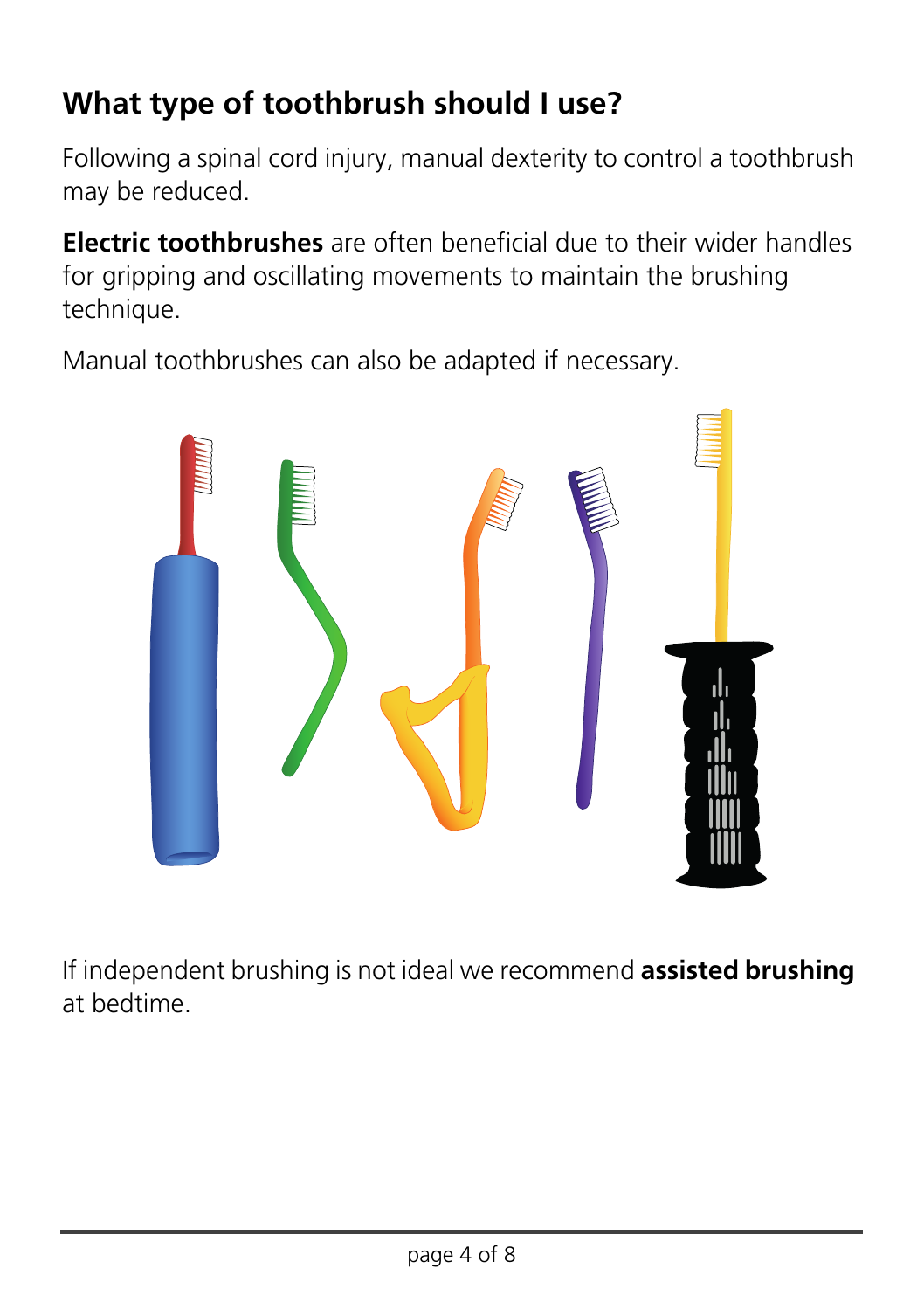## **What type of toothbrush should I use?**

Following a spinal cord injury, manual dexterity to control a toothbrush may be reduced.

**Electric toothbrushes** are often beneficial due to their wider handles for gripping and oscillating movements to maintain the brushing technique.

Manual toothbrushes can also be adapted if necessary.



If independent brushing is not ideal we recommend **assisted brushing**  at bedtime.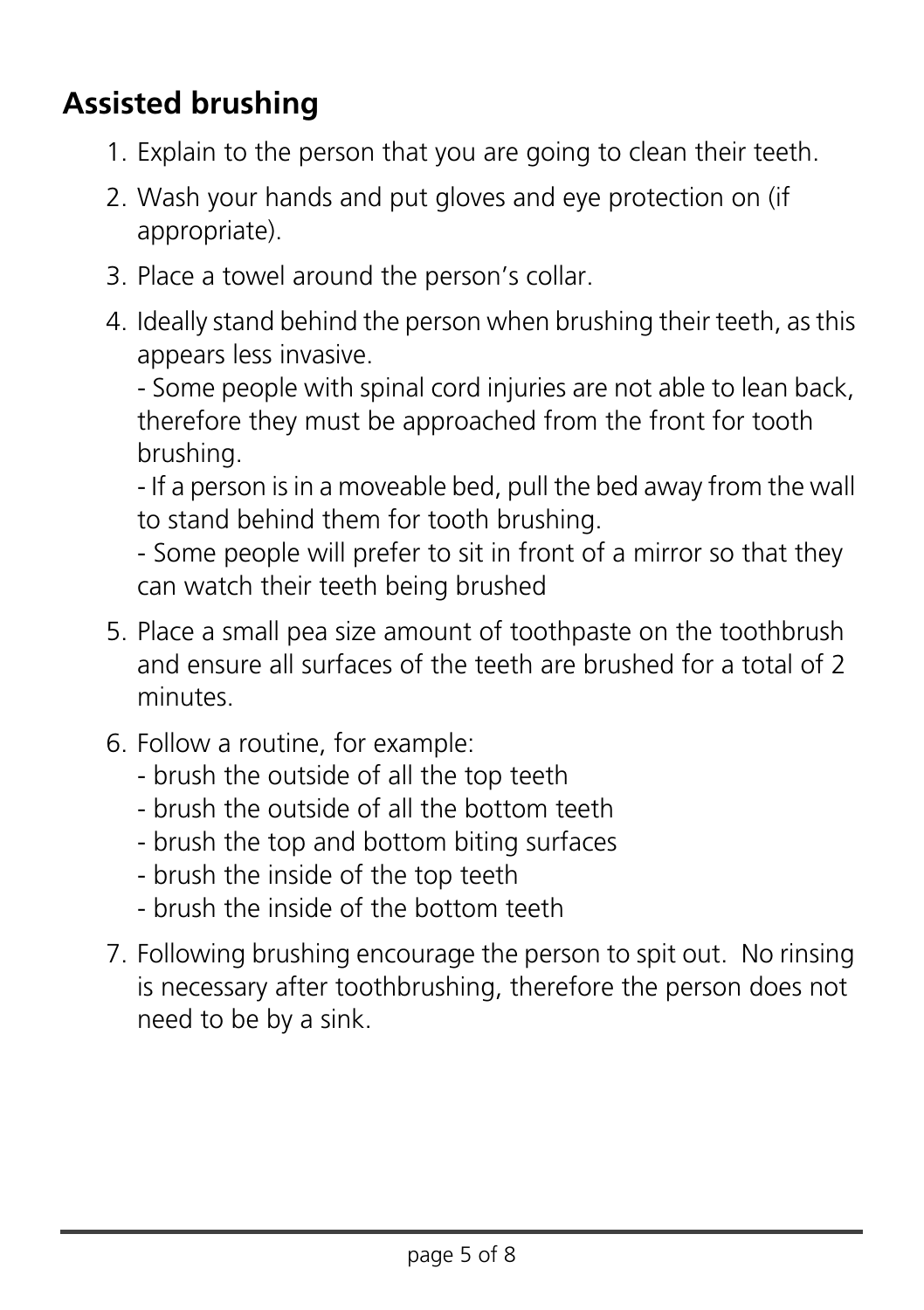## **Assisted brushing**

- 1. Explain to the person that you are going to clean their teeth.
- 2. Wash your hands and put gloves and eye protection on (if appropriate).
- 3. Place a towel around the person's collar.
- 4. Ideally stand behind the person when brushing their teeth, as this appears less invasive.

- Some people with spinal cord injuries are not able to lean back, therefore they must be approached from the front for tooth brushing.

- If a person is in a moveable bed, pull the bed away from the wall to stand behind them for tooth brushing.

- Some people will prefer to sit in front of a mirror so that they can watch their teeth being brushed

- 5. Place a small pea size amount of toothpaste on the toothbrush and ensure all surfaces of the teeth are brushed for a total of 2 minutes.
- 6. Follow a routine, for example:
	- brush the outside of all the top teeth
	- brush the outside of all the bottom teeth
	- brush the top and bottom biting surfaces
	- brush the inside of the top teeth
	- brush the inside of the bottom teeth
- 7. Following brushing encourage the person to spit out. No rinsing is necessary after toothbrushing, therefore the person does not need to be by a sink.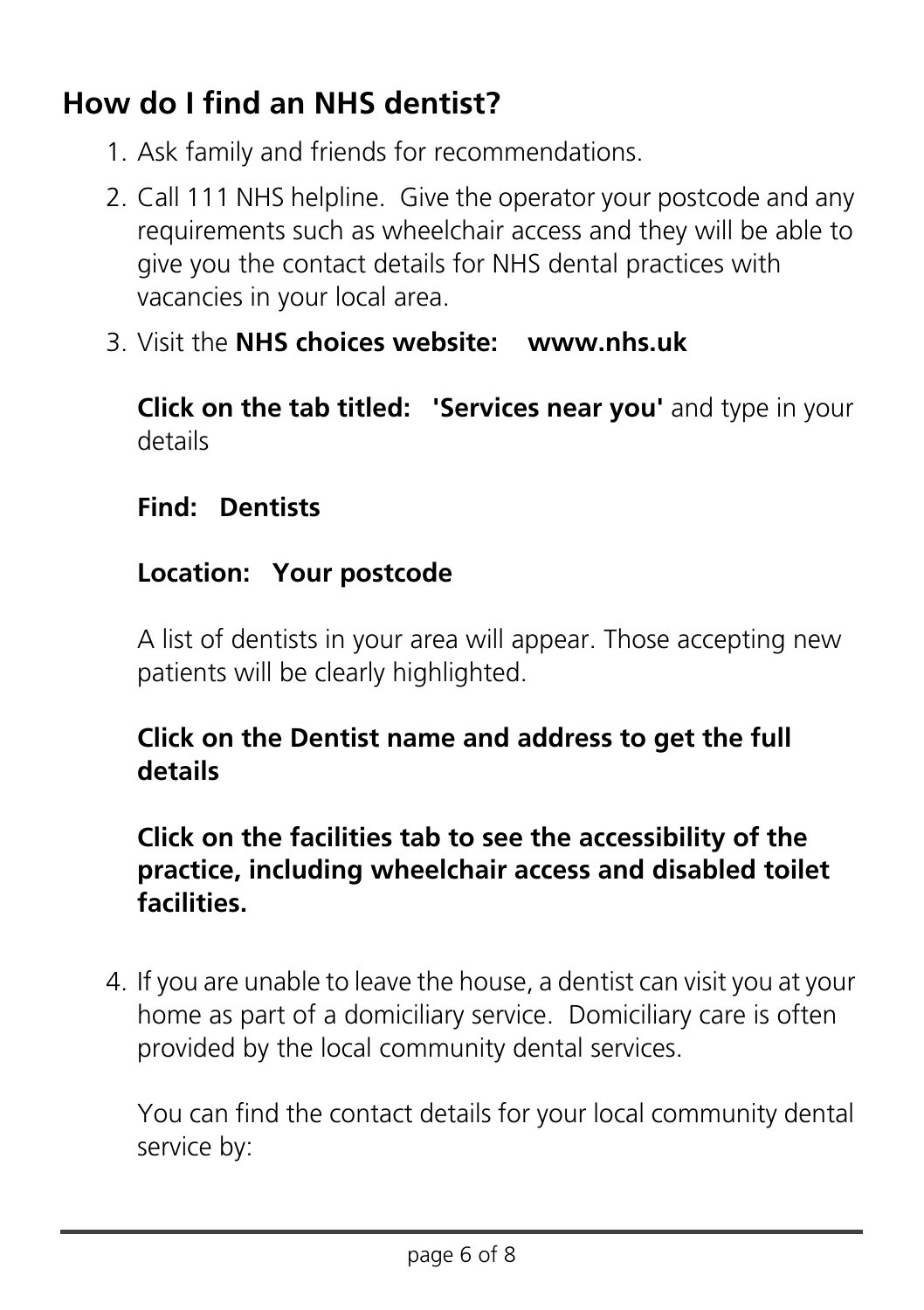## **How do I find an NHS dentist?**

- 1. Ask family and friends for recommendations.
- 2. Call 111 NHS helpline. Give the operator your postcode and any requirements such as wheelchair access and they will be able to give you the contact details for NHS dental practices with vacancies in your local area.
- 3. Visit the **NHS choices website: www.nhs.uk**

**Click on the tab titled: 'Services near you'** and type in your details

#### **Find: Dentists**

#### **Location: Your postcode**

A list of dentists in your area will appear. Those accepting new patients will be clearly highlighted.

## **Click on the Dentist name and address to get the full details**

## **Click on the facilities tab to see the accessibility of the practice, including wheelchair access and disabled toilet facilities.**

4. If you are unable to leave the house, a dentist can visit you at your home as part of a domiciliary service. Domiciliary care is often provided by the local community dental services.

You can find the contact details for your local community dental service by: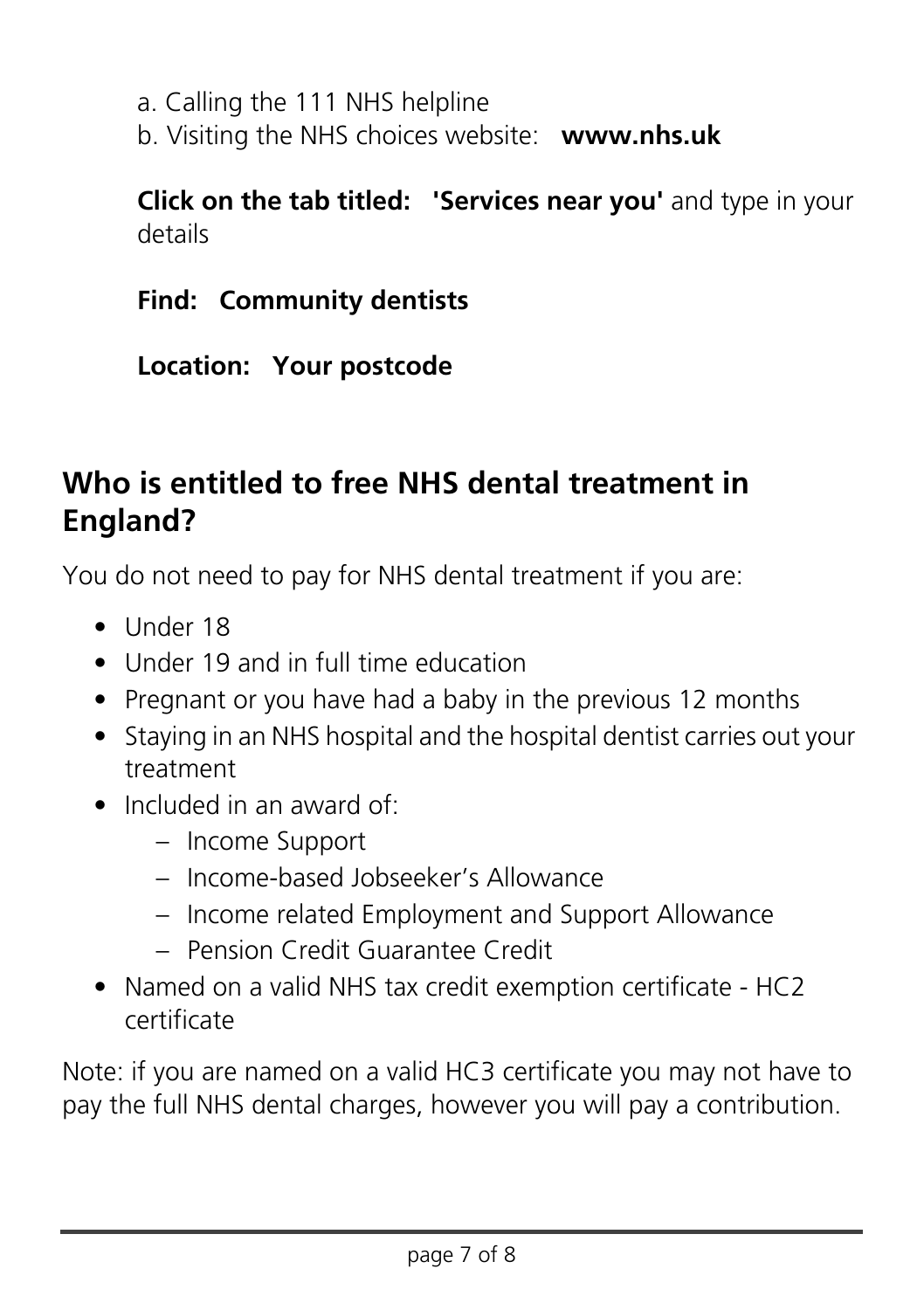a. Calling the 111 NHS helpline

b. Visiting the NHS choices website: **www.nhs.uk**

**Click on the tab titled: 'Services near you'** and type in your details

**Find: Community dentists**

**Location: Your postcode**

## **Who is entitled to free NHS dental treatment in England?**

You do not need to pay for NHS dental treatment if you are:

- Under 18
- Under 19 and in full time education
- Pregnant or you have had a baby in the previous 12 months
- Staying in an NHS hospital and the hospital dentist carries out your treatment
- Included in an award of:
	- Income Support
	- Income-based Jobseeker's Allowance
	- Income related Employment and Support Allowance
	- Pension Credit Guarantee Credit
- Named on a valid NHS tax credit exemption certificate HC2 certificate

Note: if you are named on a valid HC3 certificate you may not have to pay the full NHS dental charges, however you will pay a contribution.